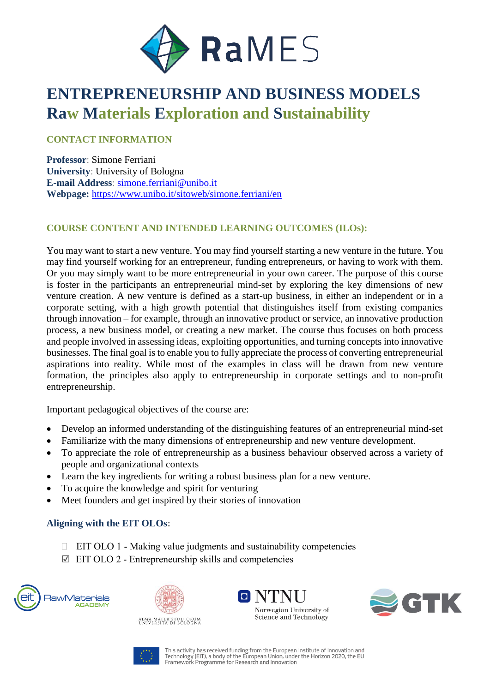

# **ENTREPRENEURSHIP AND BUSINESS MODELS Raw Materials Exploration and Sustainability**

# **CONTACT INFORMATION**

**Professor**: Simone Ferriani **University**: University of Bologna **E-mail Address**: [simone.ferriani@unibo.it](mailto:simone.ferriani@unibo.it) **Webpage:** <https://www.unibo.it/sitoweb/simone.ferriani/en>

## **COURSE CONTENT AND INTENDED LEARNING OUTCOMES (ILOs):**

You may want to start a new venture. You may find yourself starting a new venture in the future. You may find yourself working for an entrepreneur, funding entrepreneurs, or having to work with them. Or you may simply want to be more entrepreneurial in your own career. The purpose of this course is foster in the participants an entrepreneurial mind-set by exploring the key dimensions of new venture creation. A new venture is defined as a start-up business, in either an independent or in a corporate setting, with a high growth potential that distinguishes itself from existing companies through innovation – for example, through an innovative product or service, an innovative production process, a new business model, or creating a new market. The course thus focuses on both process and people involved in assessing ideas, exploiting opportunities, and turning concepts into innovative businesses. The final goal is to enable you to fully appreciate the process of converting entrepreneurial aspirations into reality. While most of the examples in class will be drawn from new venture formation, the principles also apply to entrepreneurship in corporate settings and to non-profit entrepreneurship.

Important pedagogical objectives of the course are:

- Develop an informed understanding of the distinguishing features of an entrepreneurial mind-set
- Familiarize with the many dimensions of entrepreneurship and new venture development.
- To appreciate the role of entrepreneurship as a business behaviour observed across a variety of people and organizational contexts
- Learn the key ingredients for writing a robust business plan for a new venture.
- To acquire the knowledge and spirit for venturing
- Meet founders and get inspired by their stories of innovation

## **Aligning with the EIT OLOs:**

- $\Box$  EIT OLO 1 Making value judgments and sustainability competencies
- $\boxtimes$  EIT OLO 2 Entrepreneurship skills and competencies









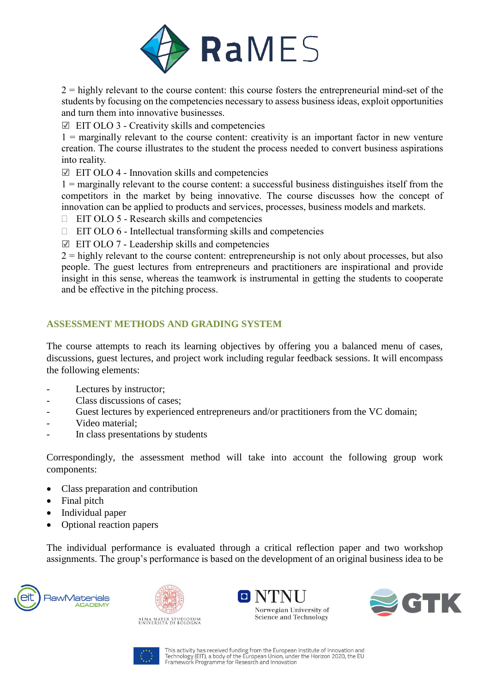

 $2$  = highly relevant to the course content: this course fosters the entrepreneurial mind-set of the students by focusing on the competencies necessary to assess business ideas, exploit opportunities and turn them into innovative businesses.

 $\boxtimes$  EIT OLO 3 - Creativity skills and competencies

 $1$  = marginally relevant to the course content: creativity is an important factor in new venture creation. The course illustrates to the student the process needed to convert business aspirations into reality.

 $\boxtimes$  EIT OLO 4 - Innovation skills and competencies

1 = marginally relevant to the course content: a successful business distinguishes itself from the competitors in the market by being innovative. The course discusses how the concept of innovation can be applied to products and services, processes, business models and markets.

- $\Box$  EIT OLO 5 Research skills and competencies
- $\Box$  EIT OLO 6 Intellectual transforming skills and competencies
- $\boxtimes$  EIT OLO 7 Leadership skills and competencies

 $2 =$  highly relevant to the course content: entrepreneurship is not only about processes, but also people. The guest lectures from entrepreneurs and practitioners are inspirational and provide insight in this sense, whereas the teamwork is instrumental in getting the students to cooperate and be effective in the pitching process.

## **ASSESSMENT METHODS AND GRADING SYSTEM**

The course attempts to reach its learning objectives by offering you a balanced menu of cases, discussions, guest lectures, and project work including regular feedback sessions. It will encompass the following elements:

- Lectures by instructor;
- Class discussions of cases;
- Guest lectures by experienced entrepreneurs and/or practitioners from the VC domain;
- Video material;
- In class presentations by students

Correspondingly, the assessment method will take into account the following group work components:

- Class preparation and contribution
- Final pitch
- Individual paper
- Optional reaction papers

The individual performance is evaluated through a critical reflection paper and two workshop assignments. The group's performance is based on the development of an original business idea to be





ALMA MATER STUDIORUM<br>Università di Bologna





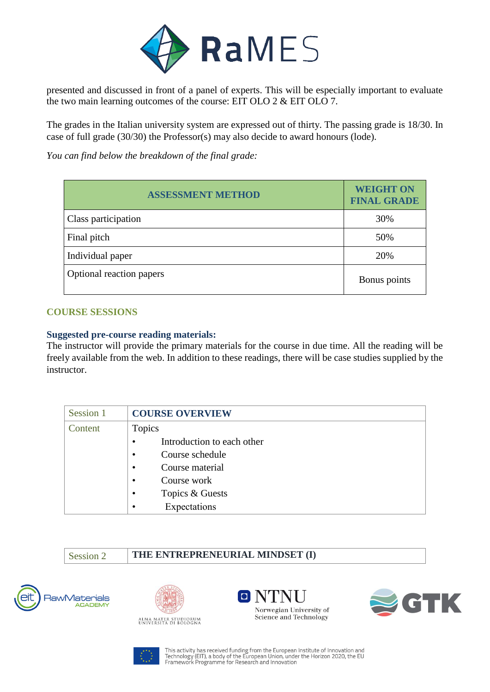

presented and discussed in front of a panel of experts. This will be especially important to evaluate the two main learning outcomes of the course: EIT OLO 2 & EIT OLO 7.

The grades in the Italian university system are expressed out of thirty. The passing grade is 18/30. In case of full grade (30/30) the Professor(s) may also decide to award honours (lode).

*You can find below the breakdown of the final grade:*

| <b>ASSESSMENT METHOD</b> | <b>WEIGHT ON</b><br><b>FINAL GRADE</b> |
|--------------------------|----------------------------------------|
| Class participation      | 30%                                    |
| Final pitch              | 50%                                    |
| Individual paper         | 20%                                    |
| Optional reaction papers | Bonus points                           |

## **COURSE SESSIONS**

## **Suggested pre-course reading materials:**

The instructor will provide the primary materials for the course in due time. All the reading will be freely available from the web. In addition to these readings, there will be case studies supplied by the instructor.

| Session 1 | <b>COURSE OVERVIEW</b>                  |
|-----------|-----------------------------------------|
| Content   | <b>Topics</b>                           |
|           | Introduction to each other<br>$\bullet$ |
|           | Course schedule<br>$\bullet$            |
|           | Course material<br>$\bullet$            |
|           | Course work<br>$\bullet$                |
|           | Topics & Guests<br>$\bullet$            |
|           | Expectations<br>٠                       |

Session 2 **THE ENTREPRENEURIAL MINDSET (I)** 









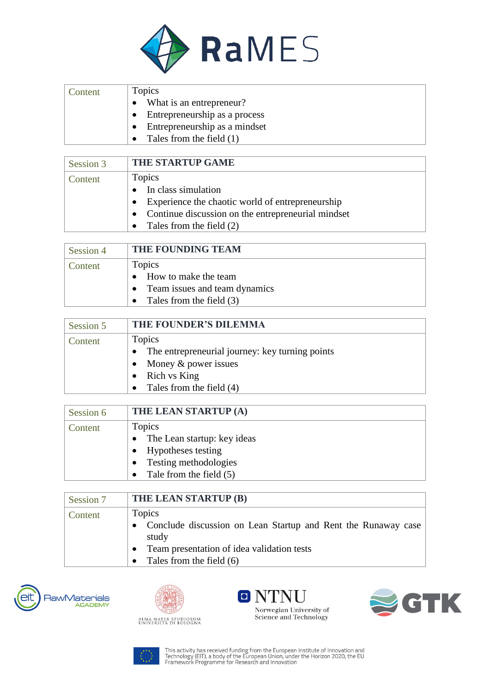

| Content | Topics                        |
|---------|-------------------------------|
|         | • What is an entrepreneur?    |
|         | Entrepreneurship as a process |
|         | Entrepreneurship as a mindset |
|         | Tales from the field $(1)$    |

| Session 3 | <b>THE STARTUP GAME</b>                                       |
|-----------|---------------------------------------------------------------|
| Content   | Topics                                                        |
|           | • In class simulation                                         |
|           | Experience the chaotic world of entrepreneurship<br>$\bullet$ |
|           | Continue discussion on the entrepreneurial mindset            |
|           | Tales from the field (2)                                      |

| Session 4 | THE FOUNDING TEAM                     |
|-----------|---------------------------------------|
| Content   | Topics                                |
|           | • How to make the team                |
|           | Team issues and team dynamics         |
|           | Tales from the field (3)<br>$\bullet$ |

| Session 5 | THE FOUNDER'S DILEMMA                           |
|-----------|-------------------------------------------------|
| Content   | Topics                                          |
|           | The entrepreneurial journey: key turning points |
|           | Money & power issues                            |
|           | Rich vs King                                    |
|           | Tales from the field (4)                        |

| Session 6 | THE LEAN STARTUP (A)                                                                                              |
|-----------|-------------------------------------------------------------------------------------------------------------------|
| Content   | Topics<br>• The Lean startup: key ideas<br>Hypotheses testing<br>Testing methodologies<br>Tale from the field (5) |

| Session 7 | THE LEAN STARTUP (B)                                                                                                             |
|-----------|----------------------------------------------------------------------------------------------------------------------------------|
| Content   | Topics<br>• Conclude discussion on Lean Startup and Rent the Runaway case<br>study<br>Team presentation of idea validation tests |
|           | Tales from the field (6)                                                                                                         |

RawMaterials